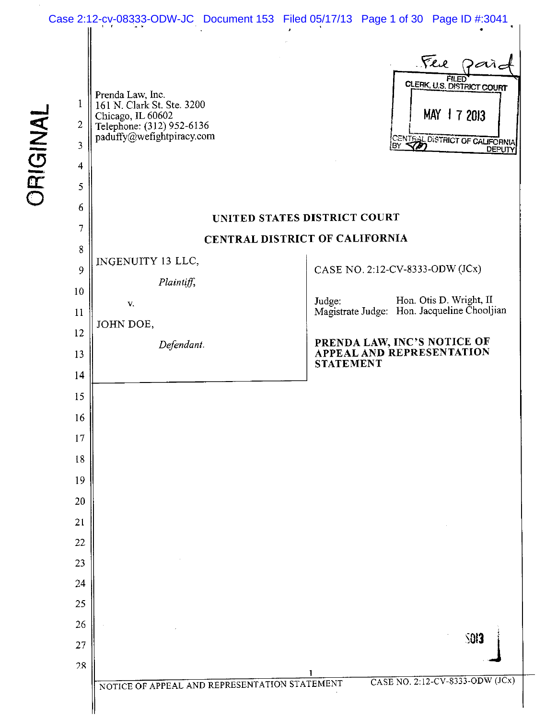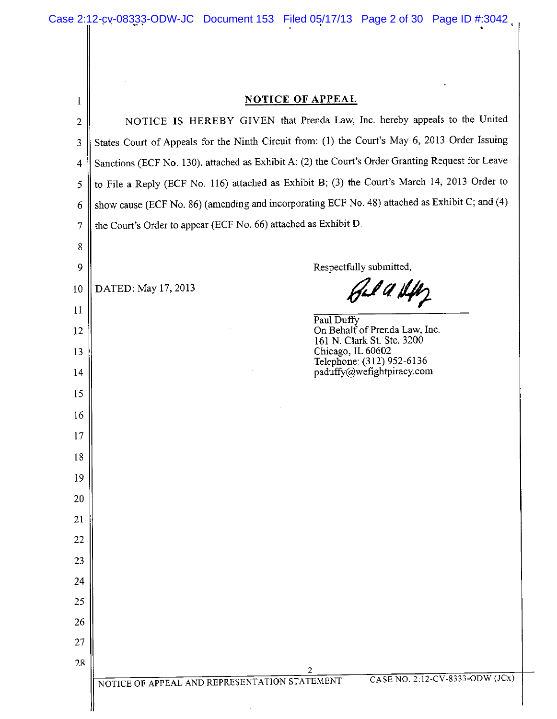| 1                       | <b>NOTICE OF APPEAL</b>                                                                          |  |  |
|-------------------------|--------------------------------------------------------------------------------------------------|--|--|
| $\boldsymbol{2}$        | NOTICE IS HEREBY GIVEN that Prenda Law, Inc. hereby appeals to the United                        |  |  |
| $\overline{\mathbf{3}}$ | States Court of Appeals for the Ninth Circuit from: (1) the Court's May 6, 2013 Order Issuing    |  |  |
| 4                       | Sanctions (ECF No. 130), attached as Exhibit A; (2) the Court's Order Granting Request for Leave |  |  |
| 5                       | to File a Reply (ECF No. 116) attached as Exhibit B; (3) the Court's March 14, 2013 Order to     |  |  |
| 6                       | show cause (ECF No. 86) (amending and incorporating ECF No. 48) attached as Exhibit C; and (4)   |  |  |
| 7                       | the Court's Order to appear (ECF No. 66) attached as Exhibit D.                                  |  |  |
| 8                       |                                                                                                  |  |  |
| 9                       | Respectfully submitted,                                                                          |  |  |
| 10                      | AI a sifi<br>DATED: May 17, 2013                                                                 |  |  |
| 11                      | Paul Duffy                                                                                       |  |  |
| 12                      | On Behalf of Prenda Law, Inc.<br>161 N. Clark St. Ste. 3200                                      |  |  |
| 13                      | Chicago, IL 60602<br>Telephone: (312) 952-6136                                                   |  |  |
| 14                      | paduffy@wefightpiracy.com                                                                        |  |  |
| 15                      |                                                                                                  |  |  |
| 16                      |                                                                                                  |  |  |
| 17                      |                                                                                                  |  |  |
| 18                      |                                                                                                  |  |  |
| 19                      |                                                                                                  |  |  |
| 20                      |                                                                                                  |  |  |
| 21                      |                                                                                                  |  |  |
| 22                      |                                                                                                  |  |  |
| 23                      |                                                                                                  |  |  |
| 24                      |                                                                                                  |  |  |
| 25                      |                                                                                                  |  |  |
| 26                      |                                                                                                  |  |  |
| 27                      |                                                                                                  |  |  |
| 28                      | 2                                                                                                |  |  |
|                         | CASE NO. 2:12-CV-8333-ODW (JCx)<br>NOTICE OF APPEAL AND REPRESENTATION STATEMENT                 |  |  |
|                         |                                                                                                  |  |  |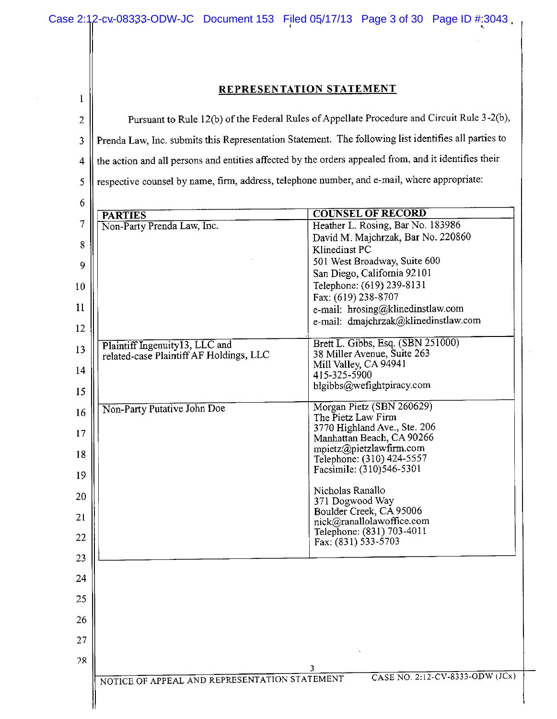$\mathbf{1}$ 

#### REPRESENTATION STATEMENT

| $\overline{2}$ | Pursuant to Rule 12(b) of the Federal Rules of Appellate Procedure and Circuit Rule 3-2(b),           |                                                               |  |
|----------------|-------------------------------------------------------------------------------------------------------|---------------------------------------------------------------|--|
| 3              | Prenda Law, Inc. submits this Representation Statement. The following list identifies all parties to  |                                                               |  |
| 4              | the action and all persons and entities affected by the orders appealed from, and it identifies their |                                                               |  |
| 5              | respective counsel by name, firm, address, telephone number, and e-mail, where appropriate:           |                                                               |  |
| 6              |                                                                                                       |                                                               |  |
| 7              | <b>PARTIES</b><br>Non-Party Prenda Law, Inc.                                                          | <b>COUNSEL OF RECORD</b><br>Heather L. Rosing, Bar No. 183986 |  |
| 8              |                                                                                                       | David M. Majchrzak, Bar No. 220860<br>Klinedinst PC           |  |
| 9              |                                                                                                       | 501 West Broadway, Suite 600                                  |  |
| 10             |                                                                                                       | San Diego, California 92101<br>Telephone: (619) 239-8131      |  |
| 11             |                                                                                                       | Fax: (619) 238-8707<br>e-mail: hrosing@klinedinstlaw.com      |  |
| 12             |                                                                                                       | e-mail: dmajchrzak@klinedinstlaw.com                          |  |
|                | Plaintiff Ingenuity13, LLC and                                                                        | Brett L. Gibbs, Esq. $(SBN 251000)$                           |  |
| 13<br>14       | related-case Plaintiff AF Holdings, LLC                                                               | 38 Miller Avenue, Suite 263<br>Mill Valley, CA 94941          |  |
|                |                                                                                                       | 415-325-5900<br>blgibbs@wefightpiracy.com                     |  |
| 15             | Non-Party Putative John Doe                                                                           | Morgan Pietz (SBN 260629)                                     |  |
| 16             |                                                                                                       | The Pietz Law Firm<br>3770 Highland Ave., Ste. 206            |  |
| 17             |                                                                                                       | Manhattan Beach, CA 90266<br>mpietz@pietzlawfirm.com          |  |
| 18             |                                                                                                       | Telephone: (310) 424-5557<br>Facsimile: (310)546-5301         |  |
| 19             |                                                                                                       |                                                               |  |
| 20             |                                                                                                       | Nicholas Ranallo<br>371 Dogwood Way                           |  |
| 21             |                                                                                                       | Boulder Creek, CA 95006<br>nick@ranallolawoffice.com          |  |
| 22             |                                                                                                       | Telephone: (831) 703-4011<br>Fax: (831) 533-5703              |  |
| 23             |                                                                                                       |                                                               |  |
| 24             |                                                                                                       |                                                               |  |
| 25             |                                                                                                       |                                                               |  |
| 26             |                                                                                                       |                                                               |  |
| 27             |                                                                                                       |                                                               |  |
|                |                                                                                                       |                                                               |  |
| 28             | NOTICE OF APPEAL AND REPRESENTATION STATEMENT                                                         | 3<br>$\overline{CASE}$ NO. 2:12-CV-8333-ODW (JCx)             |  |
|                |                                                                                                       |                                                               |  |
|                |                                                                                                       |                                                               |  |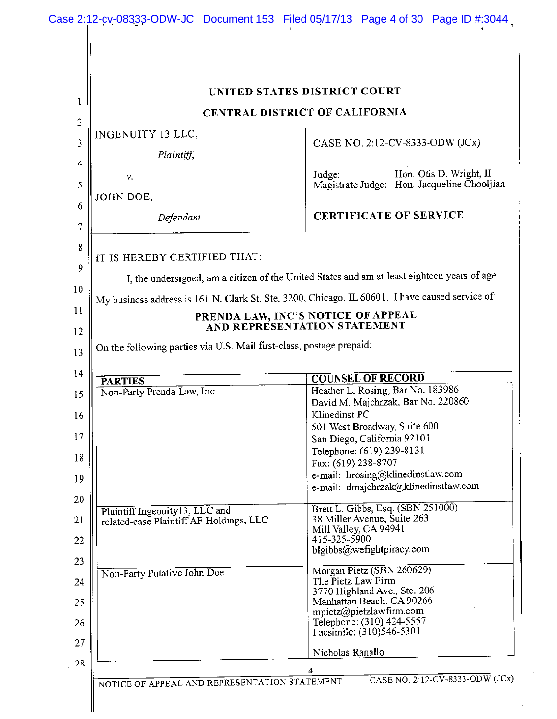|                                                                      | UNITED STATES DISTRICT COURT                                                                    |
|----------------------------------------------------------------------|-------------------------------------------------------------------------------------------------|
|                                                                      |                                                                                                 |
|                                                                      | CENTRAL DISTRICT OF CALIFORNIA                                                                  |
| INGENUITY 13 LLC,                                                    | CASE NO. 2:12-CV-8333-ODW (JCx)                                                                 |
| Plaintiff,                                                           |                                                                                                 |
| V,                                                                   | Hon. Otis D. Wright, II<br>Judge:                                                               |
| JOHN DOE,                                                            | Magistrate Judge: Hon. Jacqueline Chooljian                                                     |
|                                                                      | <b>CERTIFICATE OF SERVICE</b>                                                                   |
| Defendant.                                                           |                                                                                                 |
|                                                                      |                                                                                                 |
| IT IS HEREBY CERTIFIED THAT:                                         |                                                                                                 |
|                                                                      | I, the undersigned, am a citizen of the United States and am at least eighteen years of age.    |
|                                                                      | My business address is 161 N. Clark St. Ste. 3200, Chicago, IL 60601. I have caused service of: |
|                                                                      | PRENDA LAW, INC'S NOTICE OF APPEAL<br>AND REPRESENTATION STATEMENT                              |
| On the following parties via U.S. Mail first-class, postage prepaid: |                                                                                                 |
|                                                                      |                                                                                                 |
| <b>PARTIES</b>                                                       | <b>COUNSEL OF RECORD</b>                                                                        |
| Non-Party Prenda Law, Inc.                                           | Heather L. Rosing, Bar No. 183986<br>David M. Majchrzak, Bar No. 220860                         |
|                                                                      | Klinedinst PC                                                                                   |
|                                                                      | 501 West Broadway, Suite 600                                                                    |
|                                                                      | San Diego, California 92101                                                                     |
|                                                                      | Telephone: (619) 239-8131<br>Fax: (619) 238-8707                                                |
|                                                                      | e-mail: hrosing@klinedinstlaw.com                                                               |
|                                                                      | e-mail: dmajchrzak@klinedinstlaw.com                                                            |
| Plaintiff Ingenuity13, LLC and                                       | Brett L. Gibbs, Esq. (SBN 251000)                                                               |
| related-case Plaintiff AF Holdings, LLC                              | 38 Miller Avenue, Suite 263<br>Mill Valley, CA 94941                                            |
|                                                                      | 415-325-5900                                                                                    |
|                                                                      | $b$ lgibbs@wefightpiracy.com                                                                    |
|                                                                      | Morgan Pietz (SBN 260629)                                                                       |
| Non-Party Putative John Doe                                          |                                                                                                 |
|                                                                      | The Pietz Law Firm                                                                              |
|                                                                      | 3770 Highland Ave., Ste. 206<br>Manhattan Beach, CA 90266                                       |
|                                                                      | mpietz@pietzlawfirm.com                                                                         |
|                                                                      | Telephone: (310) 424-5557<br>Facsimile: (310)546-5301                                           |
|                                                                      | Nicholas Ranallo                                                                                |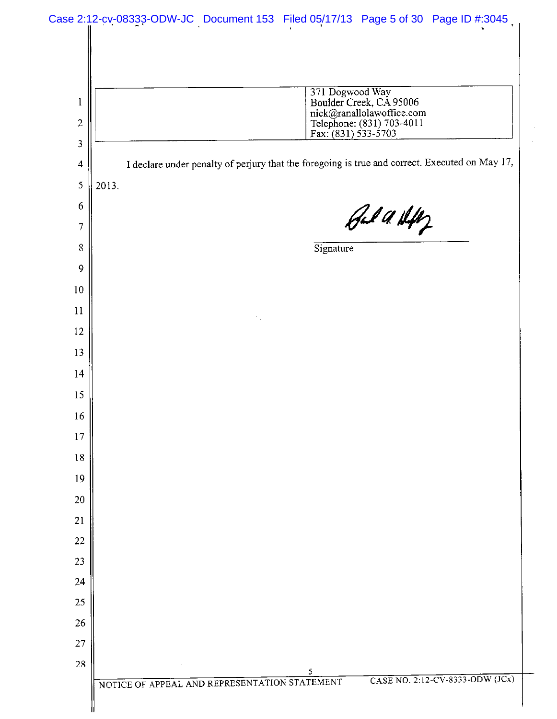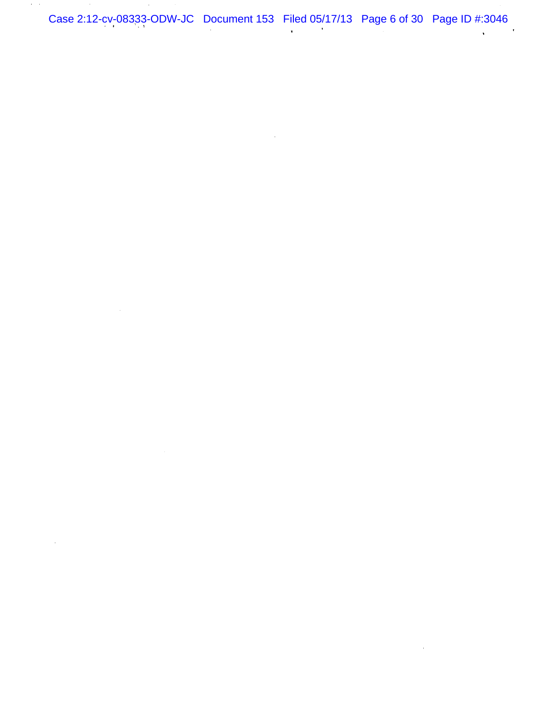Case 2:12-cv-08333-ODW-JC Document 153 Filed 05/17/13 Page 6 of 30 Page ID #:3046

 $\alpha = \alpha$  .

 $\sim$   $\mu$  .

 $\sim 10^{-10}$ 

 $\sim 10^{11}$  km  $^{-1}$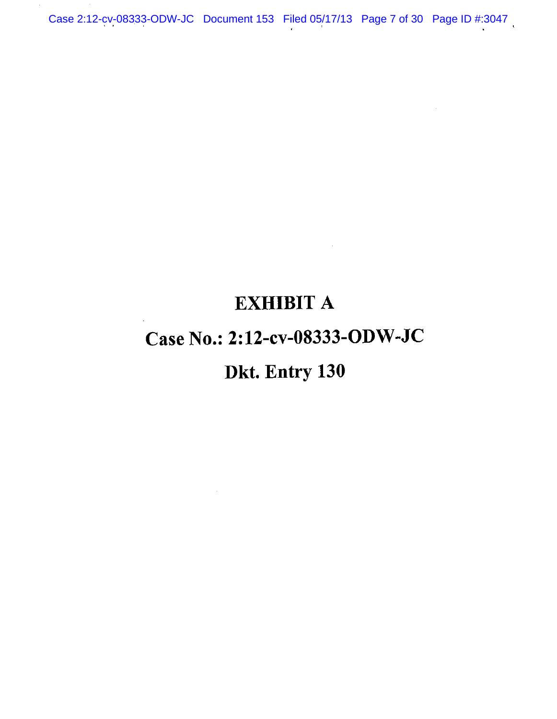Case 2:12-cv-08333-ODW-JC Document 153 Filed 05/17/13 Page 7 of 30 Page ID #:3047

# **EXHIBIT A**

### Case No.: 2:12-cv-08333-ODW-JC

# Dkt. Entry 130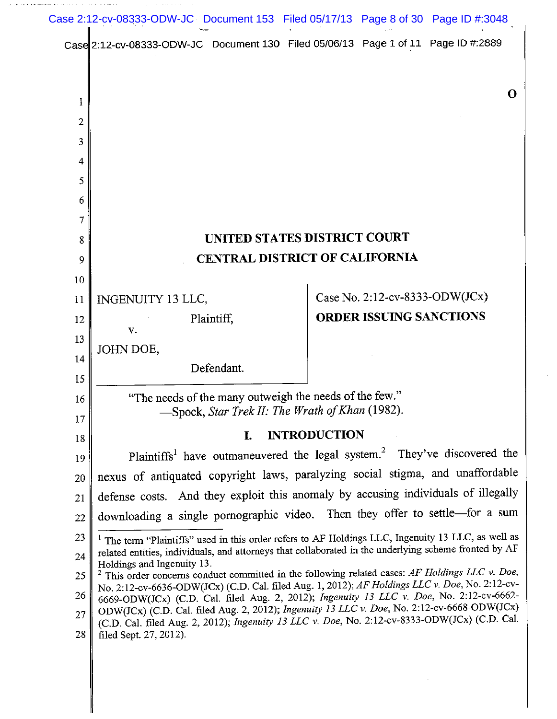|                | Case 2:12-cv-08333-ODW-JC Document 153 Filed 05/17/13 Page 8 of 30 Page ID #:3048                                                                                                                                                                                                         |  |                                |   |
|----------------|-------------------------------------------------------------------------------------------------------------------------------------------------------------------------------------------------------------------------------------------------------------------------------------------|--|--------------------------------|---|
|                | Case 2:12-cv-08333-ODW-JC Document 130 Filed 05/06/13 Page 1 of 11 Page ID #:2889                                                                                                                                                                                                         |  |                                |   |
|                |                                                                                                                                                                                                                                                                                           |  |                                |   |
|                |                                                                                                                                                                                                                                                                                           |  |                                | O |
| ł              |                                                                                                                                                                                                                                                                                           |  |                                |   |
| $\overline{2}$ |                                                                                                                                                                                                                                                                                           |  |                                |   |
| 3              |                                                                                                                                                                                                                                                                                           |  |                                |   |
| 4              |                                                                                                                                                                                                                                                                                           |  |                                |   |
| 5<br>6         |                                                                                                                                                                                                                                                                                           |  |                                |   |
| 7              |                                                                                                                                                                                                                                                                                           |  |                                |   |
| 8              | UNITED STATES DISTRICT COURT                                                                                                                                                                                                                                                              |  |                                |   |
| 9              | CENTRAL DISTRICT OF CALIFORNIA                                                                                                                                                                                                                                                            |  |                                |   |
| 10             |                                                                                                                                                                                                                                                                                           |  |                                |   |
| 11             | INGENUITY 13 LLC,                                                                                                                                                                                                                                                                         |  | Case No. 2:12-cv-8333-ODW(JCx) |   |
| 12             | Plaintiff,                                                                                                                                                                                                                                                                                |  | <b>ORDER ISSUING SANCTIONS</b> |   |
| 13             | v.<br>JOHN DOE,                                                                                                                                                                                                                                                                           |  |                                |   |
| 14             | Defendant.                                                                                                                                                                                                                                                                                |  |                                |   |
| 15             |                                                                                                                                                                                                                                                                                           |  |                                |   |
| 16             | "The needs of the many outweigh the needs of the few."<br>Spock, Star Trek II: The Wrath of Khan (1982).                                                                                                                                                                                  |  |                                |   |
| 17             | <b>INTRODUCTION</b>                                                                                                                                                                                                                                                                       |  |                                |   |
| 18             | I.                                                                                                                                                                                                                                                                                        |  |                                |   |
| 19<br>20       | Plaintiffs <sup>1</sup> have outmaneuvered the legal system. <sup>2</sup> They've discovered the<br>nexus of antiquated copyright laws, paralyzing social stigma, and unaffordable                                                                                                        |  |                                |   |
| 21             | defense costs. And they exploit this anomaly by accusing individuals of illegally                                                                                                                                                                                                         |  |                                |   |
| 22             | downloading a single pornographic video. Then they offer to settle-for a sum                                                                                                                                                                                                              |  |                                |   |
| 23             | <sup>1</sup> The term "Plaintiffs" used in this order refers to AF Holdings LLC, Ingenuity 13 LLC, as well as                                                                                                                                                                             |  |                                |   |
| 24             | related entities, individuals, and attorneys that collaborated in the underlying scheme fronted by AF                                                                                                                                                                                     |  |                                |   |
| 25             | Holdings and Ingenuity 13.<br><sup>2</sup> This order concerns conduct committed in the following related cases: AF Holdings LLC v. Doe,                                                                                                                                                  |  |                                |   |
| 26             | No. 2:12-cv-6636-ODW(JCx) (C.D. Cal. filed Aug. 1, 2012); AF Holdings LLC v. Doe, No. 2:12-cv-<br>6669-ODW(JCx) (C.D. Cal. filed Aug. 2, 2012); Ingenuity 13 LLC v. Doe, No. 2:12-cv-6662-<br>ODW(JCx) (C.D. Cal. filed Aug. 2, 2012); Ingenuity 13 LLC v. Doe, No. 2:12-cv-6668-ODW(JCx) |  |                                |   |
| 27             | (C.D. Cal. filed Aug. 2, 2012); Ingenuity 13 LLC v. Doe, No. 2:12-cv-8333-ODW(JCx) (C.D. Cal.                                                                                                                                                                                             |  |                                |   |
| 28             | filed Sept. 27, 2012).                                                                                                                                                                                                                                                                    |  |                                |   |
|                |                                                                                                                                                                                                                                                                                           |  |                                |   |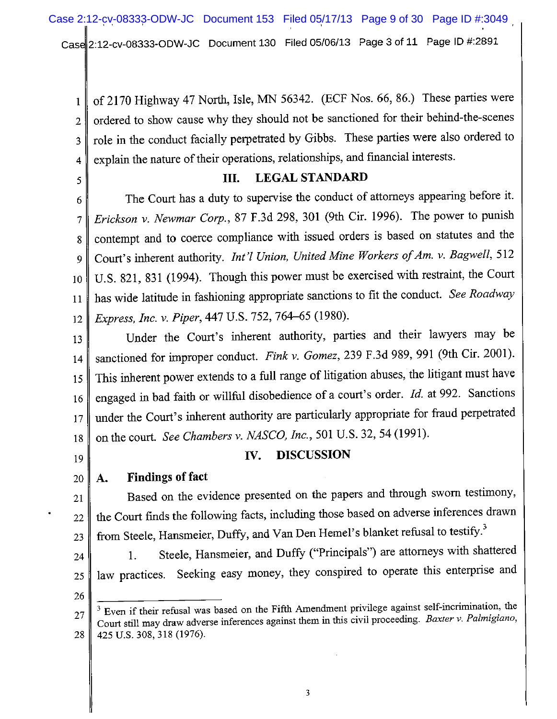Case 2:12-cv-08333-ODW-JC Document 130 Filed 05/06/13 Page 3 of 11 Page ID #:2891

of 2170 Highway 47 North, Isle, MN 56342. (ECF Nos. 66, 86.) These parties were  $\mathbf{1}$ ordered to show cause why they should not be sanctioned for their behind-the-scenes  $\overline{2}$ role in the conduct facially perpetrated by Gibbs. These parties were also ordered to  $\overline{3}$ explain the nature of their operations, relationships, and financial interests.  $\overline{4}$ 

5

#### III. **LEGAL STANDARD**

The Court has a duty to supervise the conduct of attorneys appearing before it. 6 Erickson v. Newmar Corp., 87 F.3d 298, 301 (9th Cir. 1996). The power to punish  $\overline{7}$ contempt and to coerce compliance with issued orders is based on statutes and the 8 Court's inherent authority. Int'l Union, United Mine Workers of Am. v. Bagwell, 512 9 U.S. 821, 831 (1994). Though this power must be exercised with restraint, the Court 10 has wide latitude in fashioning appropriate sanctions to fit the conduct. See Roadway 11 Express, Inc. v. Piper, 447 U.S. 752, 764-65 (1980).  $12$ 

Under the Court's inherent authority, parties and their lawyers may be 13 sanctioned for improper conduct. Fink v. Gomez, 239 F.3d 989, 991 (9th Cir. 2001). 14 This inherent power extends to a full range of litigation abuses, the litigant must have 15 engaged in bad faith or willful disobedience of a court's order. Id. at 992. Sanctions 16 under the Court's inherent authority are particularly appropriate for fraud perpetrated 17 on the court. See Chambers v. NASCO, Inc., 501 U.S. 32, 54 (1991). 18

19

#### **DISCUSSION** IV.

**Findings of fact** A. 20

Based on the evidence presented on the papers and through sworn testimony, 21 the Court finds the following facts, including those based on adverse inferences drawn 22 from Steele, Hansmeier, Duffy, and Van Den Hemel's blanket refusal to testify.<sup>3</sup> 23

Steele, Hansmeier, and Duffy ("Principals") are attorneys with shattered  $1.$ 24 law practices. Seeking easy money, they conspired to operate this enterprise and 25 26

<sup>3</sup> Even if their refusal was based on the Fifth Amendment privilege against self-incrimination, the 27 Court still may draw adverse inferences against them in this civil proceeding. Baxter v. Palmigiano, 425 U.S. 308, 318 (1976). 28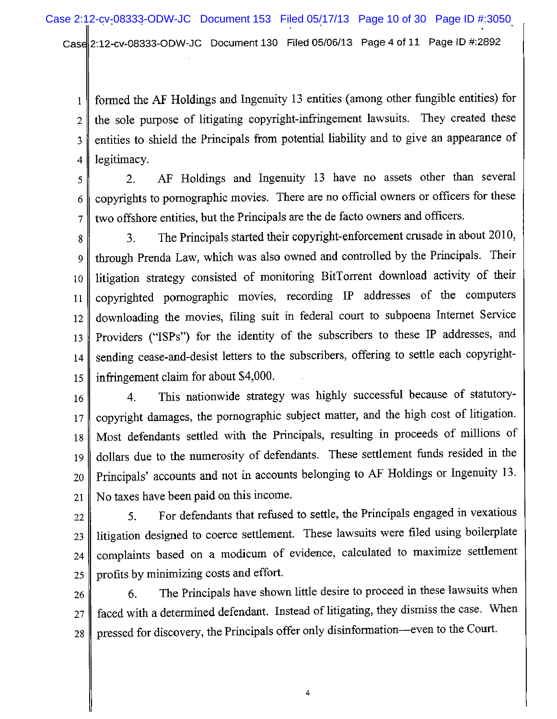Case 2:12-cv-08333-ODW-JC Document 130 Filed 05/06/13 Page 4 of 11 Page ID #:2892

formed the AF Holdings and Ingenuity 13 entities (among other fungible entities) for  $\mathbf{1}$ the sole purpose of litigating copyright-infringement lawsuits. They created these  $\overline{2}$ entities to shield the Principals from potential liability and to give an appearance of 3 legitimacy.  $\overline{4}$ 

AF Holdings and Ingenuity 13 have no assets other than several  $2.$ 5 copyrights to pornographic movies. There are no official owners or officers for these 6 two offshore entities, but the Principals are the de facto owners and officers.  $\overline{7}$ 

The Principals started their copyright-enforcement crusade in about 2010, 3. 8 through Prenda Law, which was also owned and controlled by the Principals. Their 9 litigation strategy consisted of monitoring BitTorrent download activity of their 10 copyrighted pornographic movies, recording IP addresses of the computers 11 downloading the movies, filing suit in federal court to subpoena Internet Service 12 Providers ("ISPs") for the identity of the subscribers to these IP addresses, and 13 sending cease-and-desist letters to the subscribers, offering to settle each copyright- $14$ infringement claim for about \$4,000. 15

This nationwide strategy was highly successful because of statutory- $4.$ 16 copyright damages, the pornographic subject matter, and the high cost of litigation. 17 Most defendants settled with the Principals, resulting in proceeds of millions of 18 dollars due to the numerosity of defendants. These settlement funds resided in the 19 Principals' accounts and not in accounts belonging to AF Holdings or Ingenuity 13. 20 No taxes have been paid on this income. 21

For defendants that refused to settle, the Principals engaged in vexatious 5. 22 litigation designed to coerce settlement. These lawsuits were filed using boilerplate 23 complaints based on a modicum of evidence, calculated to maximize settlement 24 profits by minimizing costs and effort. 25

The Principals have shown little desire to proceed in these lawsuits when 6. 26 faced with a determined defendant. Instead of litigating, they dismiss the case. When 27 pressed for discovery, the Principals offer only disinformation---even to the Court. 28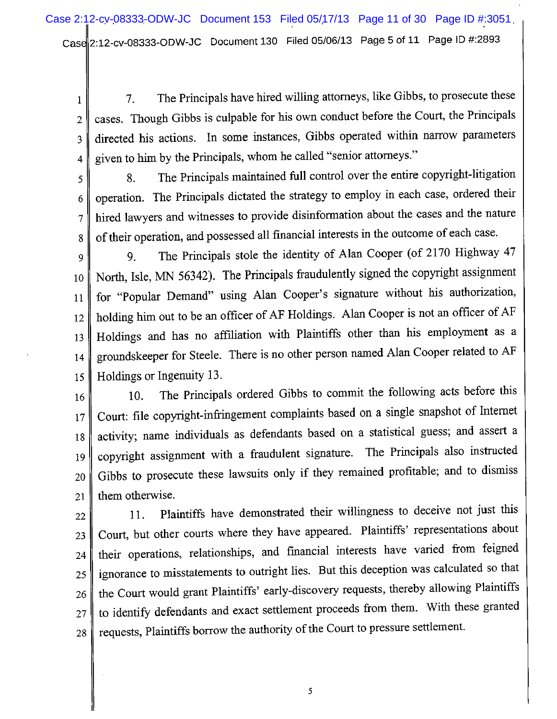The Principals have hired willing attorneys, like Gibbs, to prosecute these  $7.$  $\mathbf{1}$ cases. Though Gibbs is culpable for his own conduct before the Court, the Principals  $\overline{2}$ directed his actions. In some instances, Gibbs operated within narrow parameters 3 given to him by the Principals, whom he called "senior attorneys." 4

5

6

 $\overline{7}$ 

The Principals maintained full control over the entire copyright-litigation 8. operation. The Principals dictated the strategy to employ in each case, ordered their hired lawyers and witnesses to provide disinformation about the cases and the nature of their operation, and possessed all financial interests in the outcome of each case.

8 9

The Principals stole the identity of Alan Cooper (of 2170 Highway 47 9. North, Isle, MN 56342). The Principals fraudulently signed the copyright assignment 10 for "Popular Demand" using Alan Cooper's signature without his authorization, 11 holding him out to be an officer of AF Holdings. Alan Cooper is not an officer of AF 12 Holdings and has no affiliation with Plaintiffs other than his employment as a 13 groundskeeper for Steele. There is no other person named Alan Cooper related to AF 14 Holdings or Ingenuity 13. 15

The Principals ordered Gibbs to commit the following acts before this 10. 16 Court: file copyright-infringement complaints based on a single snapshot of Internet  $17$ activity; name individuals as defendants based on a statistical guess; and assert a 18 copyright assignment with a fraudulent signature. The Principals also instructed 19 Gibbs to prosecute these lawsuits only if they remained profitable; and to dismiss 20 them otherwise. 21

Plaintiffs have demonstrated their willingness to deceive not just this 11. 22 Court, but other courts where they have appeared. Plaintiffs' representations about 23 their operations, relationships, and financial interests have varied from feigned 24 ignorance to misstatements to outright lies. But this deception was calculated so that 25 the Court would grant Plaintiffs' early-discovery requests, thereby allowing Plaintiffs 26 to identify defendants and exact settlement proceeds from them. With these granted  $27$ requests, Plaintiffs borrow the authority of the Court to pressure settlement. 28

5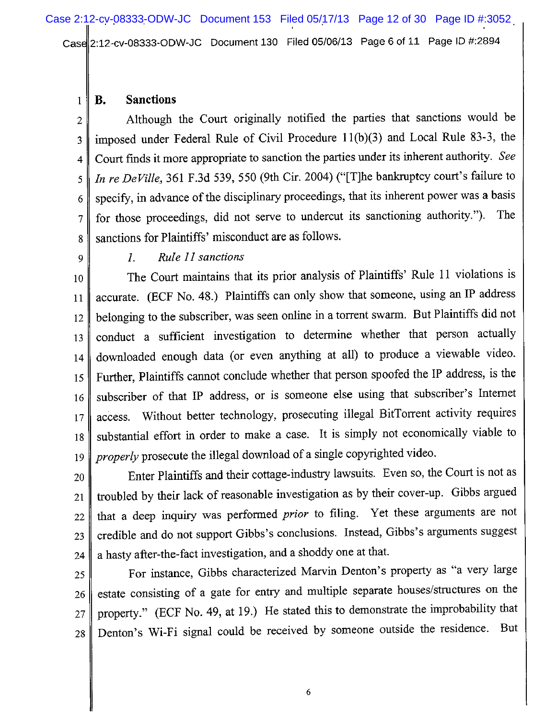#### **Sanctions B.**

Although the Court originally notified the parties that sanctions would be  $\overline{2}$ imposed under Federal Rule of Civil Procedure 11(b)(3) and Local Rule 83-3, the 3 Court finds it more appropriate to sanction the parties under its inherent authority. See  $\overline{\mathbf{4}}$ In re DeVille, 361 F.3d 539, 550 (9th Cir. 2004) ("[T]he bankruptcy court's failure to 5 specify, in advance of the disciplinary proceedings, that its inherent power was a basis 6 for those proceedings, did not serve to undercut its sanctioning authority."). The  $\overline{7}$ sanctions for Plaintiffs' misconduct are as follows. 8

9

 $\mathbf{1}$ 

#### Rule 11 sanctions  $I_{\cdot}$

The Court maintains that its prior analysis of Plaintiffs' Rule 11 violations is 10 accurate. (ECF No. 48.) Plaintiffs can only show that someone, using an IP address 11 belonging to the subscriber, was seen online in a torrent swarm. But Plaintiffs did not  $12$ conduct a sufficient investigation to determine whether that person actually 13 downloaded enough data (or even anything at all) to produce a viewable video.  $14$ Further, Plaintiffs cannot conclude whether that person spoofed the IP address, is the 15 subscriber of that IP address, or is someone else using that subscriber's Internet 16 access. Without better technology, prosecuting illegal BitTorrent activity requires 17 substantial effort in order to make a case. It is simply not economically viable to 18 properly prosecute the illegal download of a single copyrighted video. 19

Enter Plaintiffs and their cottage-industry lawsuits. Even so, the Court is not as 20 troubled by their lack of reasonable investigation as by their cover-up. Gibbs argued 21 that a deep inquiry was performed *prior* to filing. Yet these arguments are not 22 credible and do not support Gibbs's conclusions. Instead, Gibbs's arguments suggest 23 a hasty after-the-fact investigation, and a shoddy one at that. 24

For instance, Gibbs characterized Marvin Denton's property as "a very large 25 estate consisting of a gate for entry and multiple separate houses/structures on the 26 property." (ECF No. 49, at 19.) He stated this to demonstrate the improbability that 27 Denton's Wi-Fi signal could be received by someone outside the residence. But 28

6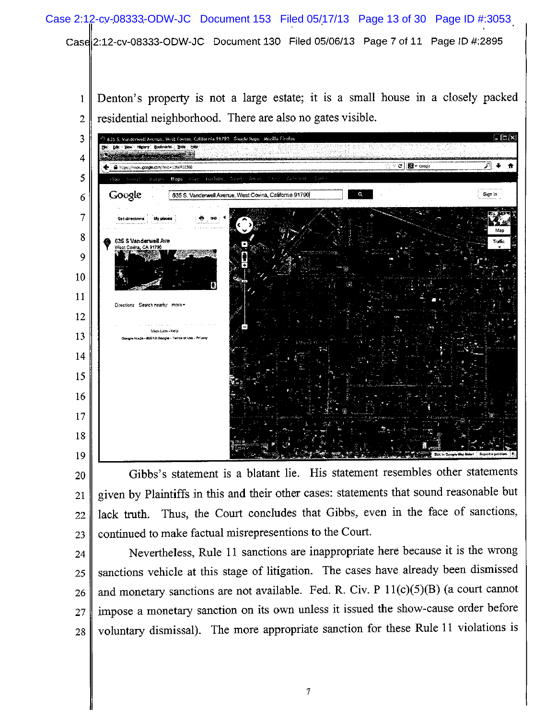

Denton's property is not a large estate; it is a small house in a closely packed  $\mathbf{1}$ residential neighborhood. There are also no gates visible.  $\overline{2}$ 



Gibbs's statement is a blatant lie. His statement resembles other statements 20 given by Plaintiffs in this and their other cases: statements that sound reasonable but 21 lack truth. Thus, the Court concludes that Gibbs, even in the face of sanctions, 22 continued to make factual misrepresentions to the Court. 23

Nevertheless, Rule 11 sanctions are inappropriate here because it is the wrong 24 sanctions vehicle at this stage of litigation. The cases have already been dismissed 25 and monetary sanctions are not available. Fed. R. Civ. P 11(c)(5)(B) (a court cannot 26 impose a monetary sanction on its own unless it issued the show-cause order before 27 voluntary dismissal). The more appropriate sanction for these Rule 11 violations is 28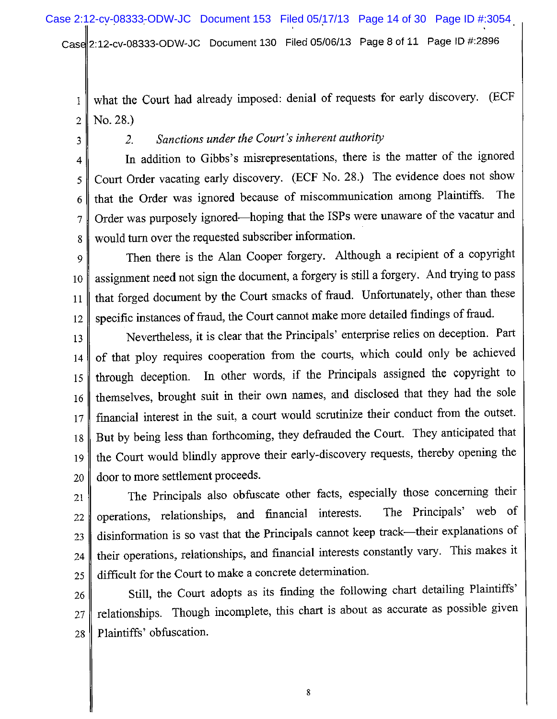Case 2:12-cv-08333-ODW-JC Document 153 Filed 05/17/13 Page 14 of 30 Page ID #:3054

Case 2:12-cv-08333-ODW-JC Document 130 Filed 05/06/13 Page 8 of 11 Page ID #:2896

what the Court had already imposed: denial of requests for early discovery. (ECF  $\mathbf{1}$  $\overline{2}$ No. 28.)

 $\overline{3}$ 

#### Sanctions under the Court's inherent authority  $2.$

In addition to Gibbs's misrepresentations, there is the matter of the ignored  $\overline{4}$ Court Order vacating early discovery. (ECF No. 28.) The evidence does not show 5 that the Order was ignored because of miscommunication among Plaintiffs. The 6 Order was purposely ignored—hoping that the ISPs were unaware of the vacatur and  $\overline{7}$ would turn over the requested subscriber information. 8

Then there is the Alan Cooper forgery. Although a recipient of a copyright 9 assignment need not sign the document, a forgery is still a forgery. And trying to pass  $10<sup>10</sup>$ that forged document by the Court smacks of fraud. Unfortunately, other than these 11 specific instances of fraud, the Court cannot make more detailed findings of fraud.  $12$ 

Nevertheless, it is clear that the Principals' enterprise relies on deception. Part 13 of that ploy requires cooperation from the courts, which could only be achieved 14 through deception. In other words, if the Principals assigned the copyright to 15 themselves, brought suit in their own names, and disclosed that they had the sole 16 financial interest in the suit, a court would scrutinize their conduct from the outset.  $17$ But by being less than forthcoming, they defrauded the Court. They anticipated that 18 the Court would blindly approve their early-discovery requests, thereby opening the 19 door to more settlement proceeds. 20

The Principals also obfuscate other facts, especially those concerning their 21 The Principals' web of operations, relationships, and financial interests. 22 disinformation is so vast that the Principals cannot keep track—their explanations of 23 their operations, relationships, and financial interests constantly vary. This makes it 24 difficult for the Court to make a concrete determination. 25

Still, the Court adopts as its finding the following chart detailing Plaintiffs' 26 relationships. Though incomplete, this chart is about as accurate as possible given 27 Plaintiffs' obfuscation. 28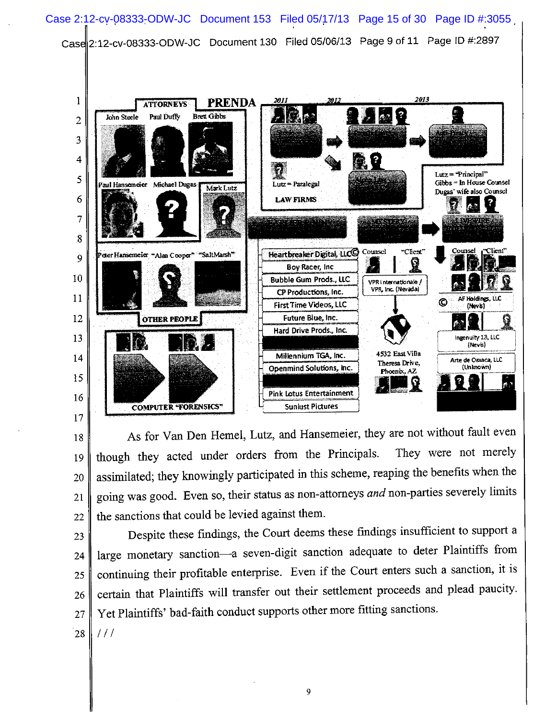

As for Van Den Hemel, Lutz, and Hansemeier, they are not without fault even 18 though they acted under orders from the Principals. They were not merely 19 assimilated; they knowingly participated in this scheme, reaping the benefits when the 20 going was good. Even so, their status as non-attorneys and non-parties severely limits 21 the sanctions that could be levied against them. 22

Despite these findings, the Court deems these findings insufficient to support a 23 large monetary sanction-a seven-digit sanction adequate to deter Plaintiffs from 24 continuing their profitable enterprise. Even if the Court enters such a sanction, it is 25 certain that Plaintiffs will transfer out their settlement proceeds and plead paucity. 26 Yet Plaintiffs' bad-faith conduct supports other more fitting sanctions. 27

 $111$ 28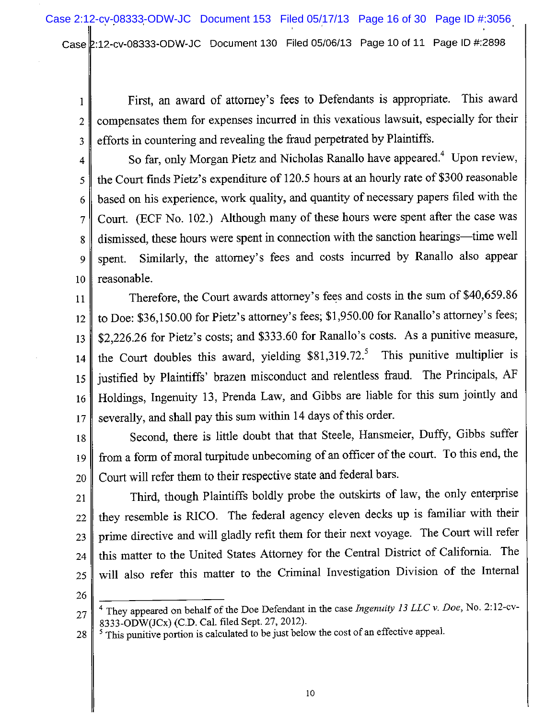Case 2:12-cv-08333-ODW-JC Document 130 Filed 05/06/13 Page 10 of 11 Page ID #:2898

First, an award of attorney's fees to Defendants is appropriate. This award  $\mathbf{1}$ compensates them for expenses incurred in this vexatious lawsuit, especially for their  $\overline{2}$ efforts in countering and revealing the fraud perpetrated by Plaintiffs. 3

 $\overline{4}$ 

So far, only Morgan Pietz and Nicholas Ranallo have appeared.<sup>4</sup> Upon review, the Court finds Pietz's expenditure of 120.5 hours at an hourly rate of \$300 reasonable 5 based on his experience, work quality, and quantity of necessary papers filed with the 6 Court. (ECF No. 102.) Although many of these hours were spent after the case was  $\overline{7}$ dismissed, these hours were spent in connection with the sanction hearings—time well 8 Similarly, the attorney's fees and costs incurred by Ranallo also appear spent. 9 reasonable. 10

Therefore, the Court awards attorney's fees and costs in the sum of \$40,659.86 11 to Doe: \$36,150.00 for Pietz's attorney's fees; \$1,950.00 for Ranallo's attorney's fees;  $12$ \$2,226.26 for Pietz's costs; and \$333.60 for Ranallo's costs. As a punitive measure, 13 the Court doubles this award, yielding \$81,319.72.<sup>5</sup> This punitive multiplier is  $14$ justified by Plaintiffs' brazen misconduct and relentless fraud. The Principals, AF 15 Holdings, Ingenuity 13, Prenda Law, and Gibbs are liable for this sum jointly and 16 severally, and shall pay this sum within 14 days of this order. 17

Second, there is little doubt that that Steele, Hansmeier, Duffy, Gibbs suffer 18 from a form of moral turpitude unbecoming of an officer of the court. To this end, the 19 Court will refer them to their respective state and federal bars. 20

Third, though Plaintiffs boldly probe the outskirts of law, the only enterprise 21 they resemble is RICO. The federal agency eleven decks up is familiar with their 22 prime directive and will gladly refit them for their next voyage. The Court will refer 23 this matter to the United States Attorney for the Central District of California. The 24 will also refer this matter to the Criminal Investigation Division of the Internal 25

26

<sup>&</sup>lt;sup>4</sup> They appeared on behalf of the Doe Defendant in the case Ingenuity 13 LLC v. Doe, No. 2:12-cv-27 8333-ODW(JCx) (C.D. Cal. filed Sept. 27, 2012).

<sup>&</sup>lt;sup>5</sup> This punitive portion is calculated to be just below the cost of an effective appeal. 28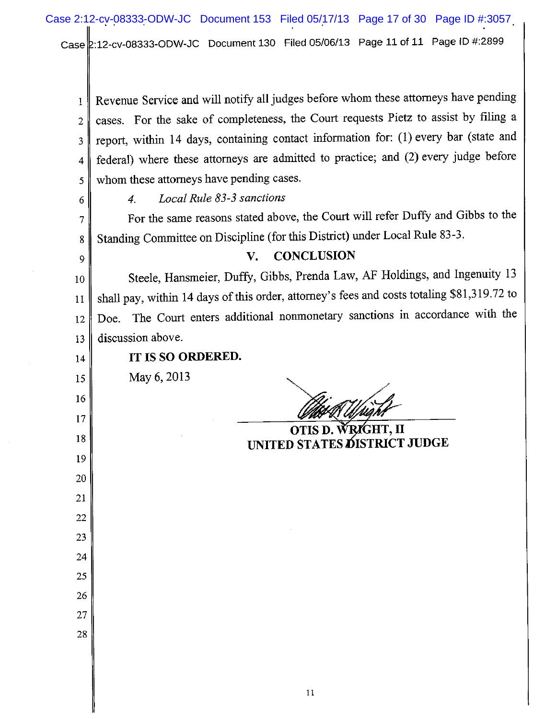Case 2:12-cv-08333-ODW-JC Document 153 Filed 05/17/13 Page 17 of 30 Page ID #:3057 Case 2:12-cv-08333-ODW-JC Document 130 Filed 05/06/13 Page 11 of 11 Page ID #:2899

Revenue Service and will notify all judges before whom these attorneys have pending  $\mathbf{1}$ cases. For the sake of completeness, the Court requests Pietz to assist by filing a  $\overline{2}$ report, within 14 days, containing contact information for: (1) every bar (state and  $\overline{\mathbf{3}}$ federal) where these attorneys are admitted to practice; and (2) every judge before  $\overline{4}$ whom these attorneys have pending cases. 5

6

9

15

16

17

18

19

20

21

22

23

24

25

26

27

28

Local Rule 83-3 sanctions  $\overline{4}$ .

For the same reasons stated above, the Court will refer Duffy and Gibbs to the  $\overline{7}$ Standing Committee on Discipline (for this District) under Local Rule 83-3. 8

#### **CONCLUSION**  $\mathbf{V}_{\bullet}$

Steele, Hansmeier, Duffy, Gibbs, Prenda Law, AF Holdings, and Ingenuity 13 10 shall pay, within 14 days of this order, attorney's fees and costs totaling \$81,319.72 to 11 Doe. The Court enters additional nonmonetary sanctions in accordance with the  $12$ discussion above. 13

IT IS SO ORDERED. 14

May 6, 2013

GHT. II  $\mathbf{O}'$ UNITED STATES DISTRICT JUDGE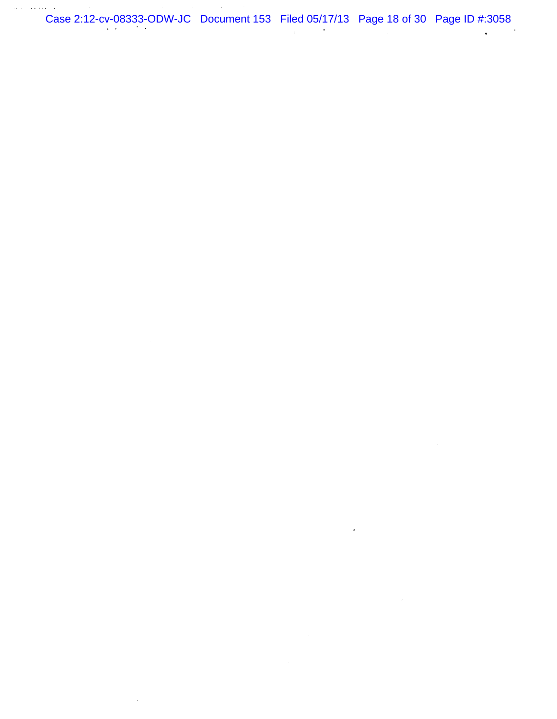Case 2:12-cv-08333-ODW-JC Document 153 Filed 05/17/13 Page 18 of 30 Page ID #:3058

المتعدد والمتحدث

 $\sim 10^{-1}$ 

 $\mathcal{L}^{\text{max}}_{\text{max}}$ 

 $\sim 10^{-10}$ 

 $\sim$   $\sim$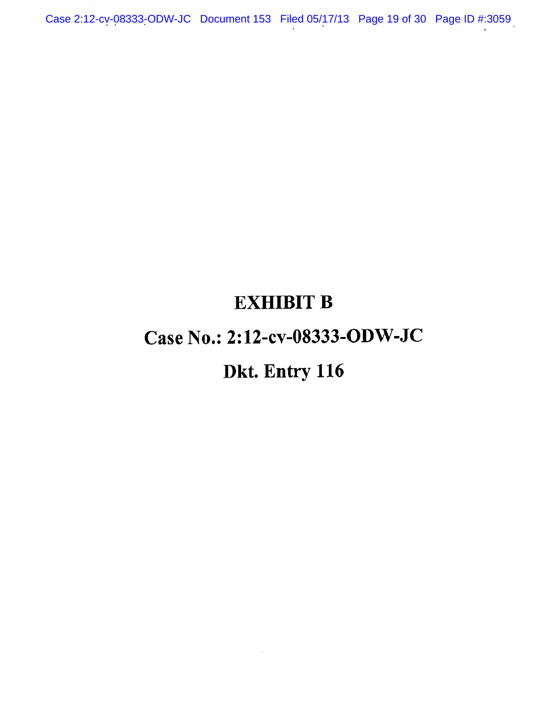Case 2:12-cv-08333-ODW-JC Document 153 Filed 05/17/13 Page 19 of 30 Page ID #:3059

# **EXHIBIT B**

### Case No.: 2:12-cv-08333-ODW-JC

## Dkt. Entry 116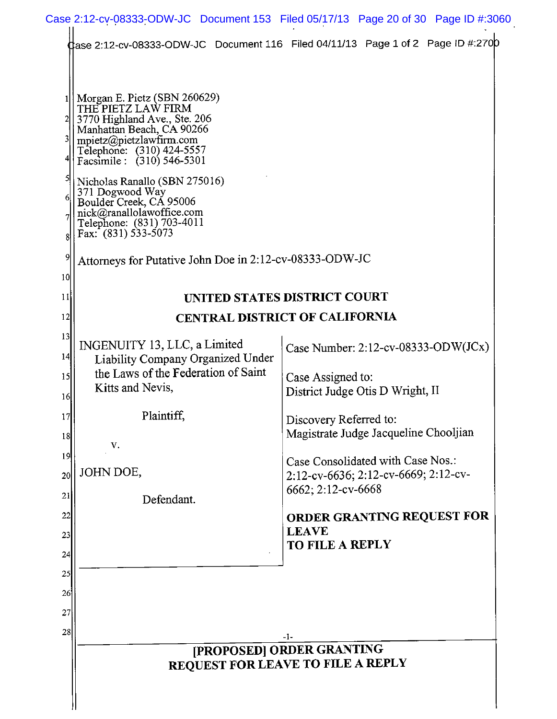|                |                                                                                                                                                                                                                                                                                                                                                                      | Case 2:12-cv-08333-ODW-JC Document 153 Filed 05/17/13 Page 20 of 30 Page ID #:3060              |  |
|----------------|----------------------------------------------------------------------------------------------------------------------------------------------------------------------------------------------------------------------------------------------------------------------------------------------------------------------------------------------------------------------|-------------------------------------------------------------------------------------------------|--|
|                |                                                                                                                                                                                                                                                                                                                                                                      | $\sharp$ ase 2:12-cv-08333-ODW-JC Document 116 Filed 04/11/13 Page 1 of 2 Page ID #:270 $\flat$ |  |
| 8              | Morgan E. Pietz (SBN 260629)<br>THE PIETZ LAW FIRM<br>3770 Highland Ave., Ste. 206<br>Manhattan Beach, CA 90266<br>mpietz@pietzlawfirm.com<br>Telephone: (310) 424-5557<br>Facsimile: (310) 546-5301<br>Nicholas Ranallo (SBN 275016)<br>371 Dogwood Way<br>Boulder Creek, CA 95006<br>nick@ranallolawoffice.com<br>Telephone: (831) 703-4011<br>Fax: (831) 533-5073 |                                                                                                 |  |
| 9<br>10        | Attorneys for Putative John Doe in 2:12-cv-08333-ODW-JC                                                                                                                                                                                                                                                                                                              |                                                                                                 |  |
| 11             | UNITED STATES DISTRICT COURT                                                                                                                                                                                                                                                                                                                                         |                                                                                                 |  |
| 12             |                                                                                                                                                                                                                                                                                                                                                                      | <b>CENTRAL DISTRICT OF CALIFORNIA</b>                                                           |  |
| 13<br>14<br>15 | INGENUITY 13, LLC, a Limited<br>Liability Company Organized Under<br>the Laws of the Federation of Saint                                                                                                                                                                                                                                                             | Case Number: $2.12$ -cv-08333-ODW(JCx)<br>Case Assigned to:                                     |  |
| 16             | Kitts and Nevis,                                                                                                                                                                                                                                                                                                                                                     | District Judge Otis D Wright, II                                                                |  |
| 17<br>18<br>19 | Plaintiff,<br>v.                                                                                                                                                                                                                                                                                                                                                     | Discovery Referred to:<br>Magistrate Judge Jacqueline Chooljian                                 |  |
| 20             | JOHN DOE,                                                                                                                                                                                                                                                                                                                                                            | Case Consolidated with Case Nos.:<br>2:12-cv-6636; 2:12-cv-6669; 2:12-cv-                       |  |
| 21             | Defendant.                                                                                                                                                                                                                                                                                                                                                           | 6662; 2:12-cv-6668                                                                              |  |
| 22<br>23       |                                                                                                                                                                                                                                                                                                                                                                      | ORDER GRANTING REQUEST FOR<br><b>LEAVE</b>                                                      |  |
| 24             |                                                                                                                                                                                                                                                                                                                                                                      | <b>TO FILE A REPLY</b>                                                                          |  |
| 25             |                                                                                                                                                                                                                                                                                                                                                                      |                                                                                                 |  |
| 26             |                                                                                                                                                                                                                                                                                                                                                                      |                                                                                                 |  |
| 27             |                                                                                                                                                                                                                                                                                                                                                                      |                                                                                                 |  |
| 28             |                                                                                                                                                                                                                                                                                                                                                                      | -1-                                                                                             |  |
|                |                                                                                                                                                                                                                                                                                                                                                                      | [PROPOSED] ORDER GRANTING<br>REQUEST FOR LEAVE TO FILE A REPLY                                  |  |
|                |                                                                                                                                                                                                                                                                                                                                                                      |                                                                                                 |  |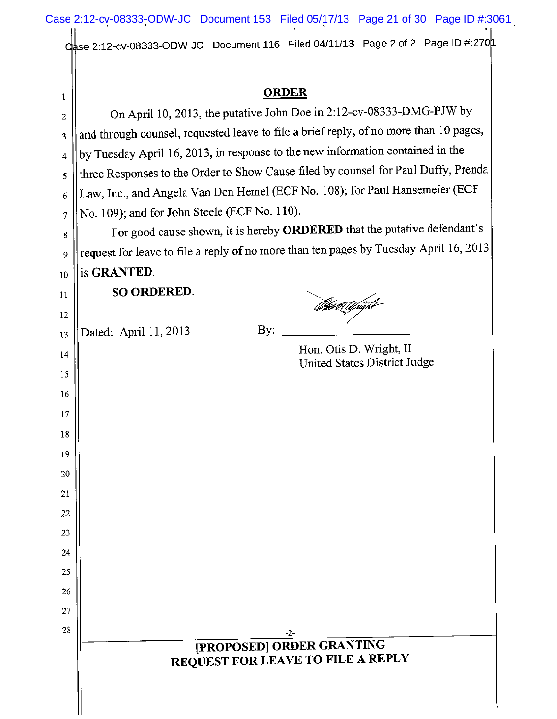| Case 2:12-cv-08333-ODW-JC Document 153 Filed 05/17/13 Page 21 of 30 Page ID #:3061 |                                                                                                  |  |  |
|------------------------------------------------------------------------------------|--------------------------------------------------------------------------------------------------|--|--|
|                                                                                    | $\rm{d}$ ase 2:12-cv-08333-ODW-JC Document 116 Filed 04/11/13 Page 2 of 2 Page ID #:270 $\rm{h}$ |  |  |
|                                                                                    |                                                                                                  |  |  |
| $\mathbf{1}$                                                                       | <b>ORDER</b>                                                                                     |  |  |
| $\overline{c}$                                                                     | On April 10, 2013, the putative John Doe in 2:12-cv-08333-DMG-PJW by                             |  |  |
| 3                                                                                  | and through counsel, requested leave to file a brief reply, of no more than 10 pages,            |  |  |
| 4                                                                                  | by Tuesday April 16, 2013, in response to the new information contained in the                   |  |  |
| 5                                                                                  | three Responses to the Order to Show Cause filed by counsel for Paul Duffy, Prenda               |  |  |
| 6                                                                                  | Law, Inc., and Angela Van Den Hemel (ECF No. 108); for Paul Hansemeier (ECF                      |  |  |
| 7                                                                                  | No. 109); and for John Steele (ECF No. 110).                                                     |  |  |
| 8                                                                                  | For good cause shown, it is hereby <b>ORDERED</b> that the putative defendant's                  |  |  |
| 9                                                                                  | request for leave to file a reply of no more than ten pages by Tuesday April 16, 2013            |  |  |
| 10                                                                                 | is GRANTED.                                                                                      |  |  |
| 11                                                                                 | SO ORDERED.                                                                                      |  |  |
| 12                                                                                 | rax <sub>bili</sub> ngr                                                                          |  |  |
| 13                                                                                 | By:<br>Dated: April 11, 2013                                                                     |  |  |
| 14                                                                                 | Hon. Otis D. Wright, II<br>United States District Judge                                          |  |  |
| 15                                                                                 |                                                                                                  |  |  |
| 16                                                                                 |                                                                                                  |  |  |
| 17                                                                                 |                                                                                                  |  |  |
| 18                                                                                 |                                                                                                  |  |  |
| 19                                                                                 |                                                                                                  |  |  |
| $20\,$                                                                             |                                                                                                  |  |  |
| 21                                                                                 |                                                                                                  |  |  |
| 22                                                                                 |                                                                                                  |  |  |
| 23                                                                                 |                                                                                                  |  |  |
| 24                                                                                 |                                                                                                  |  |  |
| 25                                                                                 |                                                                                                  |  |  |
| 26                                                                                 |                                                                                                  |  |  |
| 27<br>28                                                                           |                                                                                                  |  |  |
|                                                                                    |                                                                                                  |  |  |

# **EXAMPLE PROPOSED | ORDER GRANTING<br>REQUEST FOR LEAVE TO FILE A REPLY**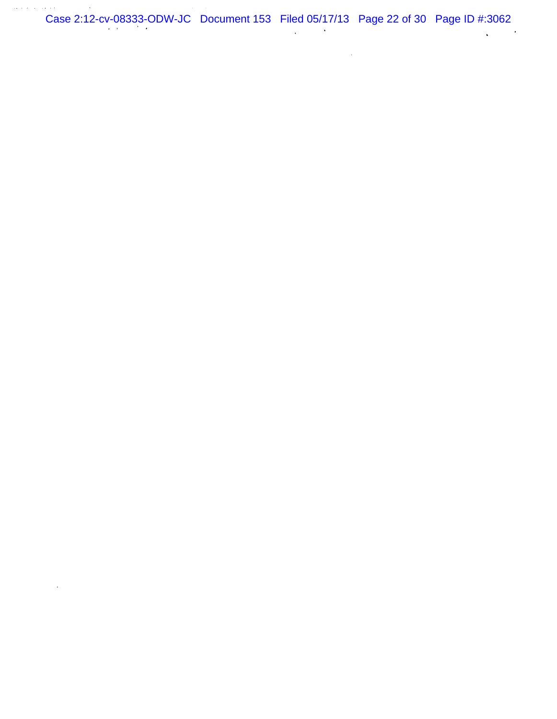$\frac{1}{2} \left( \frac{1}{2} \right)$ Case 2:12-cv-08333-ODW-JC Document 153 Filed 05/17/13 Page 22 of 30 Page ID #:3062

 $\frac{1}{2}$  and  $\frac{1}{2}$  are  $\frac{1}{2}$  . The set of the  $\frac{1}{2}$ 

 $\sim 10^{11}$  km  $^{-1}$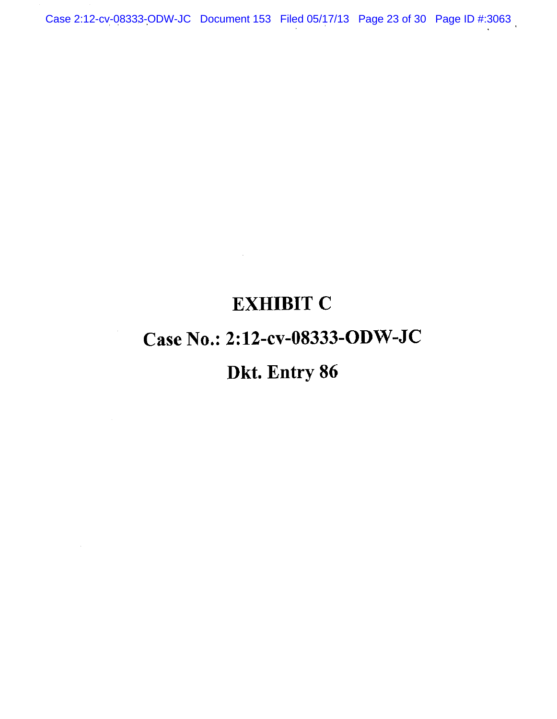Case 2:12-cv-08333-ODW-JC Document 153 Filed 05/17/13 Page 23 of 30 Page ID #:3063

### **EXHIBIT C**

### Case No.: 2:12-cv-08333-ODW-JC

### Dkt. Entry 86

 $\alpha$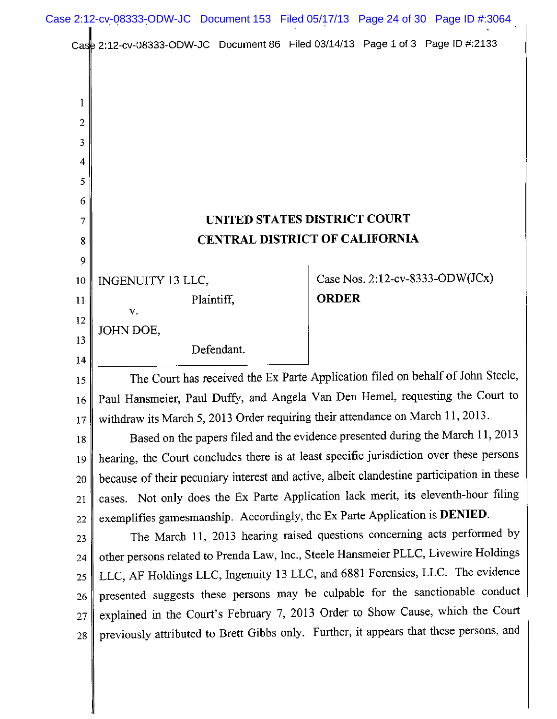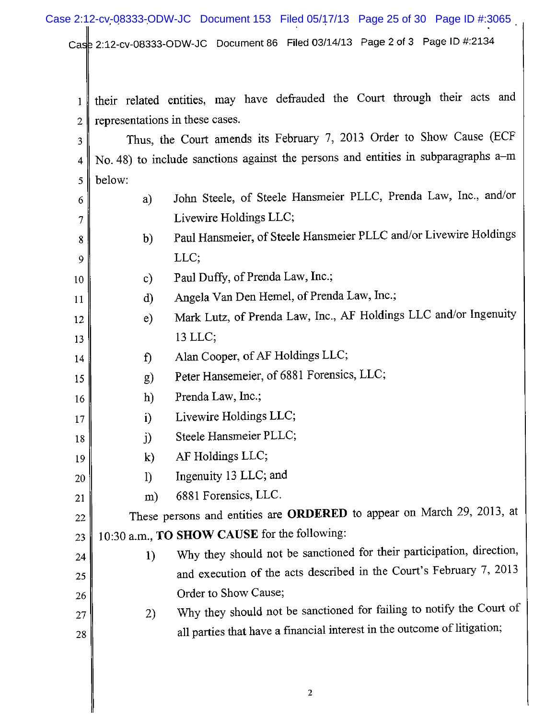their related entities, may have defrauded the Court through their acts and  $\mathbf{1}$ representations in these cases.  $\overline{2}$ 

Thus, the Court amends its February 7, 2013 Order to Show Cause (ECF  $\overline{3}$ No. 48) to include sanctions against the persons and entities in subparagraphs a-m  $\boldsymbol{4}$ below: 5

- John Steele, of Steele Hansmeier PLLC, Prenda Law, Inc., and/or  $a)$ Livewire Holdings LLC;
- Paul Hansmeier, of Steele Hansmeier PLLC and/or Livewire Holdings  $b)$ LLC;
- Paul Duffy, of Prenda Law, Inc.;  $c)$ 
	- Angela Van Den Hemel, of Prenda Law, Inc.;  $\mathbf{d}$
- Mark Lutz, of Prenda Law, Inc., AF Holdings LLC and/or Ingenuity  $e)$ 13 LLC;
- Alan Cooper, of AF Holdings LLC;  $\mathbf{f}$ 
	- Peter Hansemeier, of 6881 Forensics, LLC;  $g)$
- Prenda Law, Inc.;  $h)$ 16

6

 $\overline{7}$ 

8

9

10

11

 $12$ 

13

14

15

18

20

21

24

25

26

- Livewire Holdings LLC;  $\ddot{\mathbf{i}}$ 17
	- Steele Hansmeier PLLC,  $i)$
- AF Holdings LLC;  $\mathbf{k}$ 19
	- Ingenuity 13 LLC; and  $\mathbf{D}$
	- 6881 Forensics, LLC.  $m)$

These persons and entities are ORDERED to appear on March 29, 2013, at 22 10:30 a.m., TO SHOW CAUSE for the following: 23

- Why they should not be sanctioned for their participation, direction,  $1)$ and execution of the acts described in the Court's February 7, 2013 Order to Show Cause;
- Why they should not be sanctioned for failing to notify the Court of 2) 27 all parties that have a financial interest in the outcome of litigation; 28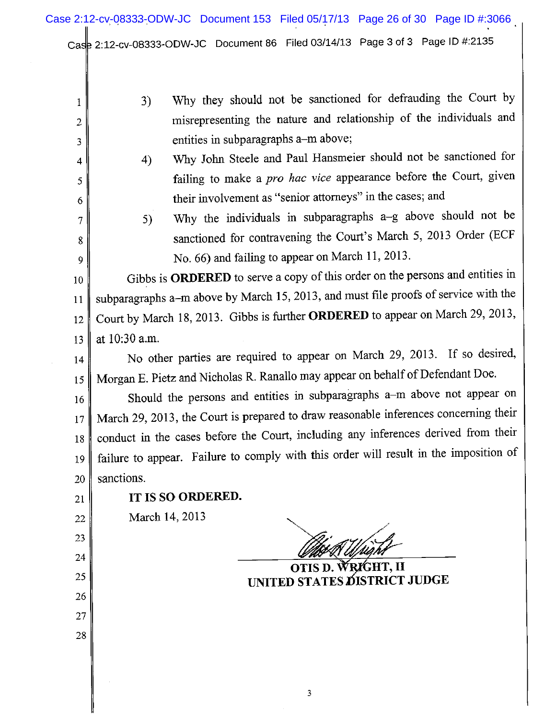- Why they should not be sanctioned for defrauding the Court by  $3)$ misrepresenting the nature and relationship of the individuals and entities in subparagraphs a-m above:
- Why John Steele and Paul Hansmeier should not be sanctioned for  $4)$ failing to make a *pro hac vice* appearance before the Court, given their involvement as "senior attorneys" in the cases; and
- Why the individuals in subparagraphs a-g above should not be  $5)$ sanctioned for contravening the Court's March 5, 2013 Order (ECF No. 66) and failing to appear on March 11, 2013.

Gibbs is ORDERED to serve a copy of this order on the persons and entities in 10 subparagraphs a-m above by March 15, 2013, and must file proofs of service with the  $11$ Court by March 18, 2013. Gibbs is further ORDERED to appear on March 29, 2013,  $12$ at 10:30 a.m. 13

No other parties are required to appear on March 29, 2013. If so desired,  $14$ Morgan E. Pietz and Nicholas R. Ranallo may appear on behalf of Defendant Doe. 15

Should the persons and entities in subparagraphs a-m above not appear on 16 March 29, 2013, the Court is prepared to draw reasonable inferences concerning their 17 conduct in the cases before the Court, including any inferences derived from their 18 failure to appear. Failure to comply with this order will result in the imposition of 19 sanctions. 20

21

22

23

24

25

26

27

28

 $\mathbf{1}$ 

 $\overline{2}$ 

3

 $\overline{4}$ 

5

6

 $\overline{7}$ 

8

9

**IT IS SO ORDERED.** 

March 14, 2013

HT. II **UNITED STATES DISTRICT JUDGE**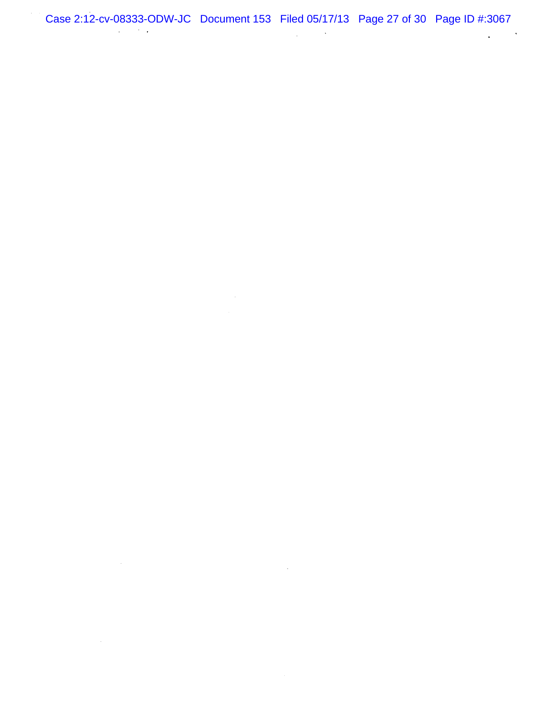Case 2:12-cv-08333-ODW-JC Document 153 Filed 05/17/13 Page 27 of 30 Page ID #:3067  $\mathcal{L}_{\text{max}}$  , where  $\mathcal{L}_{\text{max}}$  $\label{eq:2.1} \frac{1}{\sqrt{2\pi}}\int_{\mathbb{R}^{2}}\frac{1}{\sqrt{2\pi}}\int_{\mathbb{R}^{2}}\frac{1}{\sqrt{2\pi}}\int_{\mathbb{R}^{2}}\frac{1}{\sqrt{2\pi}}\int_{\mathbb{R}^{2}}\frac{1}{\sqrt{2\pi}}\int_{\mathbb{R}^{2}}\frac{1}{\sqrt{2\pi}}\int_{\mathbb{R}^{2}}\frac{1}{\sqrt{2\pi}}\int_{\mathbb{R}^{2}}\frac{1}{\sqrt{2\pi}}\int_{\mathbb{R}^{2}}\frac{1}{\sqrt{2\pi}}\int_{\mathbb{$  $\frac{1}{2}$  ,  $\frac{1}{2}$  ,  $\frac{1}{2}$ 

 $\mathcal{L}(\mathcal{A})$  .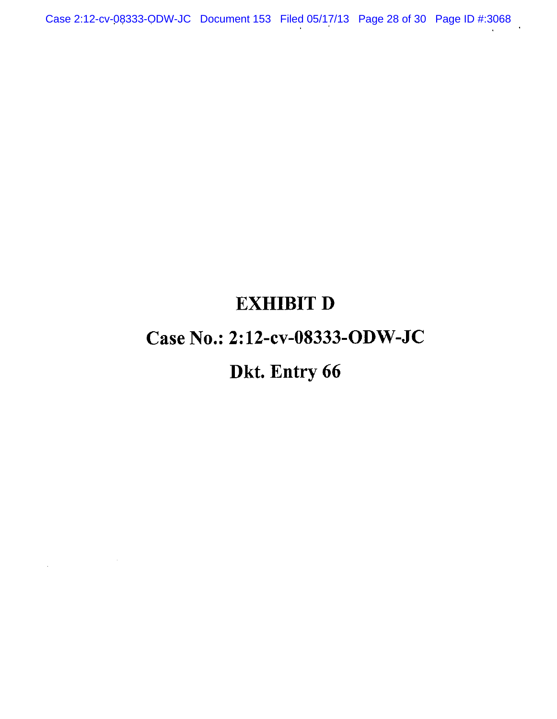Case 2:12-cv-08333-ODW-JC Document 153 Filed 05/17/13 Page 28 of 30 Page ID #:3068

# **EXHIBIT D**

### Case No.: 2:12-cv-08333-ODW-JC

### Dkt. Entry 66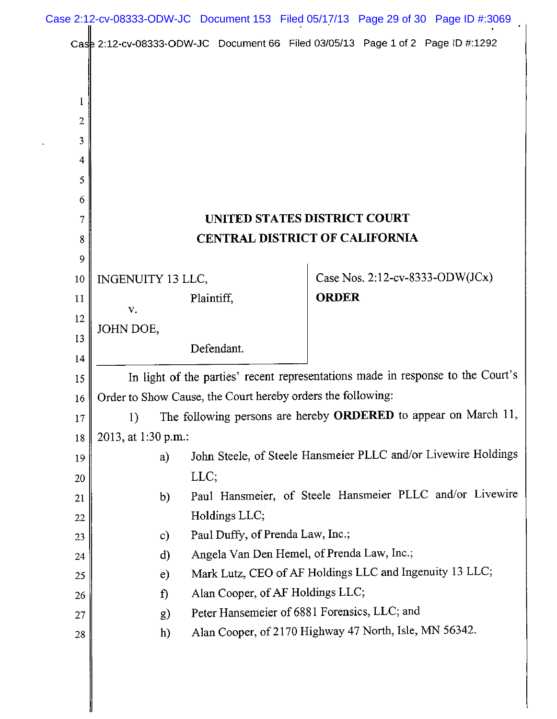| Case 2:12-cv-08333-ODW-JC Document 153 Filed 05/17/13 Page 29 of 30 Page ID #:3069 |                                                                                 |                                                             |                                                                                 |  |
|------------------------------------------------------------------------------------|---------------------------------------------------------------------------------|-------------------------------------------------------------|---------------------------------------------------------------------------------|--|
|                                                                                    |                                                                                 |                                                             | Case 2:12-cv-08333-ODW-JC Document 66 Filed 03/05/13 Page 1 of 2 Page ID #:1292 |  |
|                                                                                    |                                                                                 |                                                             |                                                                                 |  |
|                                                                                    |                                                                                 |                                                             |                                                                                 |  |
|                                                                                    |                                                                                 |                                                             |                                                                                 |  |
| 2<br>3                                                                             |                                                                                 |                                                             |                                                                                 |  |
| 4                                                                                  |                                                                                 |                                                             |                                                                                 |  |
| 5                                                                                  |                                                                                 |                                                             |                                                                                 |  |
| 6                                                                                  |                                                                                 |                                                             |                                                                                 |  |
| 7                                                                                  | UNITED STATES DISTRICT COURT                                                    |                                                             |                                                                                 |  |
| 8                                                                                  | <b>CENTRAL DISTRICT OF CALIFORNIA</b>                                           |                                                             |                                                                                 |  |
| 9                                                                                  |                                                                                 |                                                             |                                                                                 |  |
| 10                                                                                 | INGENUITY 13 LLC,                                                               |                                                             | Case Nos. 2:12-cv-8333-ODW(JCx)                                                 |  |
| 11                                                                                 |                                                                                 | Plaintiff,                                                  | <b>ORDER</b>                                                                    |  |
| 12                                                                                 | V.<br>JOHN DOE,                                                                 |                                                             |                                                                                 |  |
| 13                                                                                 |                                                                                 | Defendant.                                                  |                                                                                 |  |
| 14                                                                                 |                                                                                 |                                                             |                                                                                 |  |
| 15                                                                                 |                                                                                 |                                                             | In light of the parties' recent representations made in response to the Court's |  |
| 16                                                                                 |                                                                                 | Order to Show Cause, the Court hereby orders the following: |                                                                                 |  |
| 17                                                                                 | 1)                                                                              |                                                             | The following persons are hereby <b>ORDERED</b> to appear on March 11,          |  |
| 18                                                                                 | 2013, at 1:30 p.m.:                                                             |                                                             |                                                                                 |  |
| 19                                                                                 | a)                                                                              |                                                             | John Steele, of Steele Hansmeier PLLC and/or Livewire Holdings                  |  |
| 20                                                                                 |                                                                                 | LLC                                                         |                                                                                 |  |
| 21                                                                                 | Paul Hansmeier, of Steele Hansmeier PLLC and/or Livewire<br>b)<br>Holdings LLC; |                                                             |                                                                                 |  |
| 22<br>23                                                                           | Paul Duffy, of Prenda Law, Inc.;<br>$\mathbf{c}$                                |                                                             |                                                                                 |  |
| 24                                                                                 | Angela Van Den Hemel, of Prenda Law, Inc.;<br>d)                                |                                                             |                                                                                 |  |
| 25                                                                                 | Mark Lutz, CEO of AF Holdings LLC and Ingenuity 13 LLC;<br>$\epsilon)$          |                                                             |                                                                                 |  |
| 26                                                                                 | Alan Cooper, of AF Holdings LLC;<br>f                                           |                                                             |                                                                                 |  |
| 27                                                                                 | g)                                                                              |                                                             | Peter Hansemeier of 6881 Forensics, LLC; and                                    |  |
| 28                                                                                 | h)                                                                              |                                                             | Alan Cooper, of 2170 Highway 47 North, Isle, MN 56342.                          |  |
|                                                                                    |                                                                                 |                                                             |                                                                                 |  |

 $\ddot{\phantom{0}}$